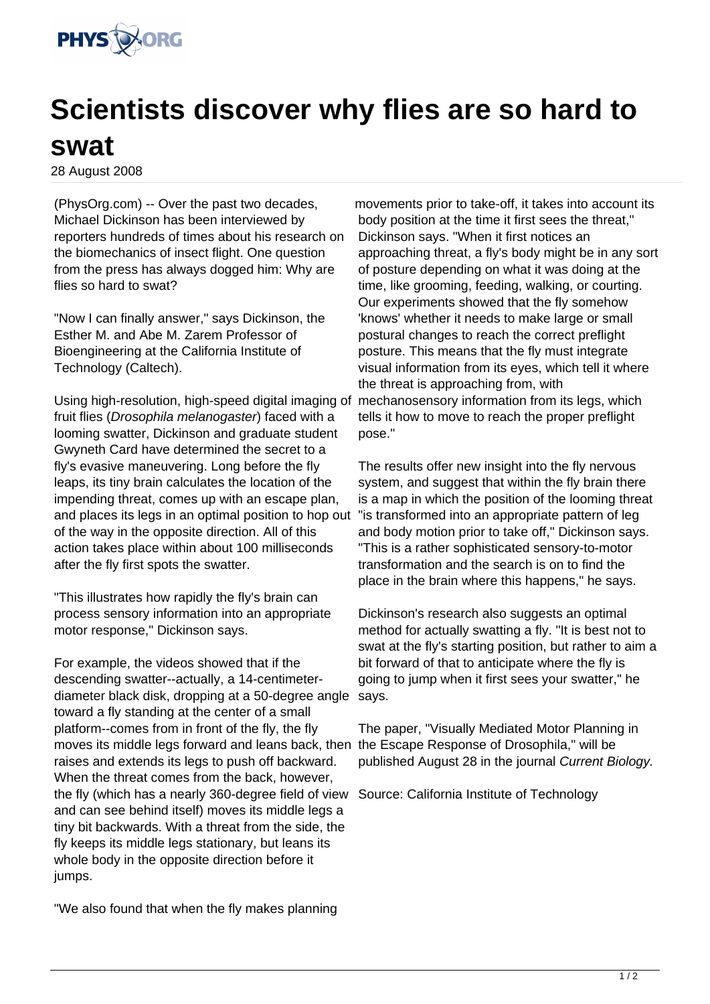

## **Scientists discover why flies are so hard to swat**

28 August 2008

(PhysOrg.com) -- Over the past two decades, Michael Dickinson has been interviewed by reporters hundreds of times about his research on the biomechanics of insect flight. One question from the press has always dogged him: Why are flies so hard to swat?

"Now I can finally answer," says Dickinson, the Esther M. and Abe M. Zarem Professor of Bioengineering at the California Institute of Technology (Caltech).

Using high-resolution, high-speed digital imaging of fruit flies (Drosophila melanogaster) faced with a looming swatter, Dickinson and graduate student Gwyneth Card have determined the secret to a fly's evasive maneuvering. Long before the fly leaps, its tiny brain calculates the location of the impending threat, comes up with an escape plan, and places its legs in an optimal position to hop out of the way in the opposite direction. All of this action takes place within about 100 milliseconds after the fly first spots the swatter.

"This illustrates how rapidly the fly's brain can process sensory information into an appropriate motor response," Dickinson says.

For example, the videos showed that if the descending swatter--actually, a 14-centimeterdiameter black disk, dropping at a 50-degree angle toward a fly standing at the center of a small platform--comes from in front of the fly, the fly moves its middle legs forward and leans back, then the Escape Response of Drosophila," will be raises and extends its legs to push off backward. When the threat comes from the back, however, the fly (which has a nearly 360-degree field of view Source: California Institute of Technology and can see behind itself) moves its middle legs a tiny bit backwards. With a threat from the side, the fly keeps its middle legs stationary, but leans its whole body in the opposite direction before it jumps.

"We also found that when the fly makes planning

movements prior to take-off, it takes into account its body position at the time it first sees the threat," Dickinson says. "When it first notices an approaching threat, a fly's body might be in any sort of posture depending on what it was doing at the time, like grooming, feeding, walking, or courting. Our experiments showed that the fly somehow 'knows' whether it needs to make large or small postural changes to reach the correct preflight posture. This means that the fly must integrate visual information from its eyes, which tell it where the threat is approaching from, with mechanosensory information from its legs, which tells it how to move to reach the proper preflight pose."

The results offer new insight into the fly nervous system, and suggest that within the fly brain there is a map in which the position of the looming threat "is transformed into an appropriate pattern of leg and body motion prior to take off," Dickinson says. "This is a rather sophisticated sensory-to-motor transformation and the search is on to find the place in the brain where this happens," he says.

Dickinson's research also suggests an optimal method for actually swatting a fly. "It is best not to swat at the fly's starting position, but rather to aim a bit forward of that to anticipate where the fly is going to jump when it first sees your swatter," he says.

The paper, "Visually Mediated Motor Planning in published August 28 in the journal Current Biology.